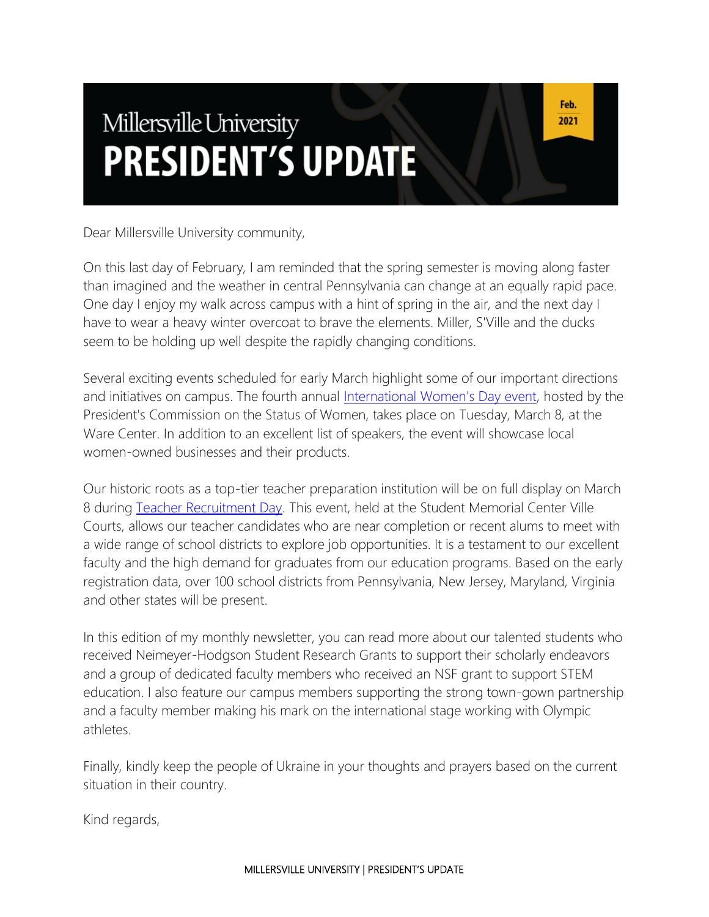# Millersville University **PRESIDENT'S UPDATE**

Dear Millersville University community,

On this last day of February, I am reminded that the spring semester is moving along faster than imagined and the weather in central Pennsylvania can change at an equally rapid pace. One day I enjoy my walk across campus with a hint of spring in the air, and the next day I have to wear a heavy winter overcoat to brave the elements. Miller, S'Ville and the ducks seem to be holding up well despite the rapidly changing conditions.

Several exciting events scheduled for early March highlight some of our important directions and initiatives on campus. The fourth annual [International Women's Day event,](https://blogs.millersville.edu/pcsw/2022/02/14/international-womens-day-march-8-2022/) hosted by the President's Commission on the Status of Women, takes place on Tuesday, March 8, at the Ware Center. In addition to an excellent list of speakers, the event will showcase local women-owned businesses and their products.

Our historic roots as a top-tier teacher preparation institution will be on full display on March 8 during [Teacher Recruitment Day.](https://www.millersville.edu/elcm/fairs-events/trd.php) This event, held at the Student Memorial Center Ville Courts, allows our teacher candidates who are near completion or recent alums to meet with a wide range of school districts to explore job opportunities. It is a testament to our excellent faculty and the high demand for graduates from our education programs. Based on the early registration data, over 100 school districts from Pennsylvania, New Jersey, Maryland, Virginia and other states will be present.

In this edition of my monthly newsletter, you can read more about our talented students who received Neimeyer-Hodgson Student Research Grants to support their scholarly endeavors and a group of dedicated faculty members who received an NSF grant to support STEM education. I also feature our campus members supporting the strong town-gown partnership and a faculty member making his mark on the international stage working with Olympic athletes.

Finally, kindly keep the people of Ukraine in your thoughts and prayers based on the current situation in their country.

Kind regards,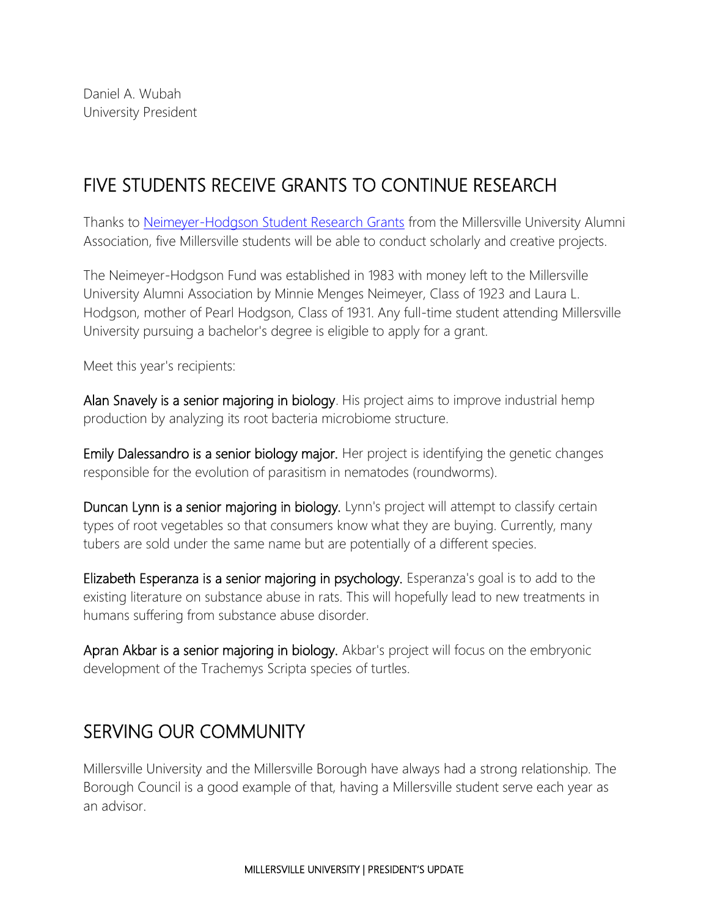## FIVE STUDENTS RECEIVE GRANTS TO CONTINUE RESEARCH

Thanks to [Neimeyer-Hodgson Student Research Grants](https://www.millersville.edu/alumni/scholarships/neimeyer-hodgson-student-research-grant.php) from the Millersville University Alumni Association, five Millersville students will be able to conduct scholarly and creative projects.

The Neimeyer-Hodgson Fund was established in 1983 with money left to the Millersville University Alumni Association by Minnie Menges Neimeyer, Class of 1923 and Laura L. Hodgson, mother of Pearl Hodgson, Class of 1931. Any full-time student attending Millersville University pursuing a bachelor's degree is eligible to apply for a grant.

Meet this year's recipients:

Alan Snavely is a senior majoring in biology. His project aims to improve industrial hemp production by analyzing its root bacteria microbiome structure.

Emily Dalessandro is a senior biology major. Her project is identifying the genetic changes responsible for the evolution of parasitism in nematodes (roundworms).

Duncan Lynn is a senior majoring in biology. Lynn's project will attempt to classify certain types of root vegetables so that consumers know what they are buying. Currently, many tubers are sold under the same name but are potentially of a different species.

Elizabeth Esperanza is a senior majoring in psychology. Esperanza's goal is to add to the existing literature on substance abuse in rats. This will hopefully lead to new treatments in humans suffering from substance abuse disorder.

Apran Akbar is a senior majoring in biology. Akbar's project will focus on the embryonic development of the Trachemys Scripta species of turtles.

#### SERVING OUR COMMUNITY

Millersville University and the Millersville Borough have always had a strong relationship. The Borough Council is a good example of that, having a Millersville student serve each year as an advisor.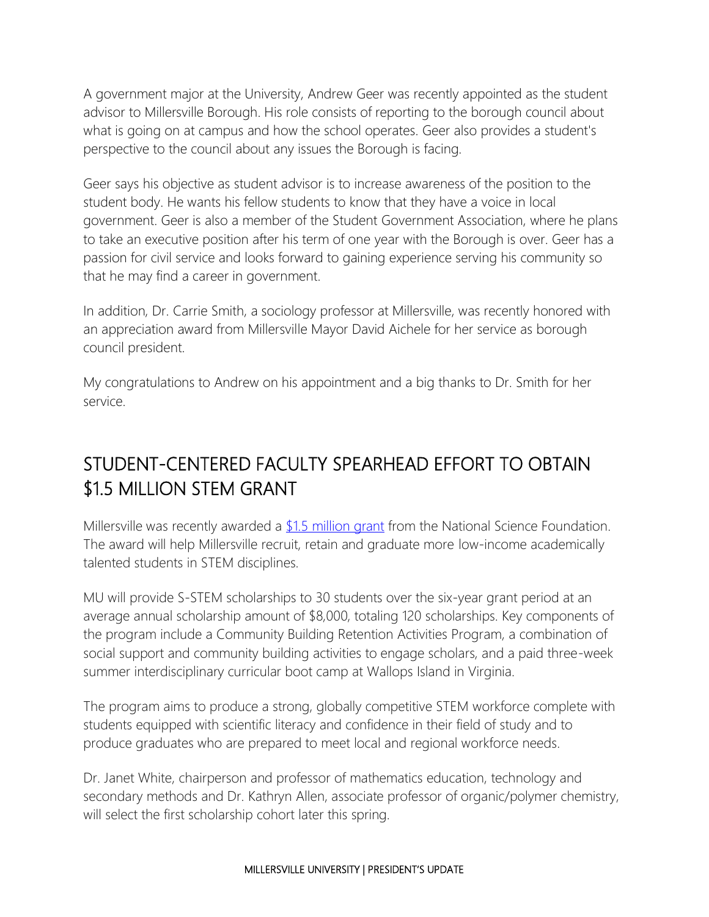A government major at the University, Andrew Geer was recently appointed as the student advisor to Millersville Borough. His role consists of reporting to the borough council about what is going on at campus and how the school operates. Geer also provides a student's perspective to the council about any issues the Borough is facing.

Geer says his objective as student advisor is to increase awareness of the position to the student body. He wants his fellow students to know that they have a voice in local government. Geer is also a member of the Student Government Association, where he plans to take an executive position after his term of one year with the Borough is over. Geer has a passion for civil service and looks forward to gaining experience serving his community so that he may find a career in government.

In addition, Dr. Carrie Smith, a sociology professor at Millersville, was recently honored with an appreciation award from Millersville Mayor David Aichele for her service as borough council president.

My congratulations to Andrew on his appointment and a big thanks to Dr. Smith for her service.

#### STUDENT-CENTERED FACULTY SPEARHEAD EFFORT TO OBTAIN \$1.5 MILLION STEM GRANT

Millersville was recently awarded a  $$1.5$  million grant from the National Science Foundation. The award will help Millersville recruit, retain and graduate more low-income academically talented students in STEM disciplines.

MU will provide S-STEM scholarships to 30 students over the six-year grant period at an average annual scholarship amount of \$8,000, totaling 120 scholarships. Key components of the program include a Community Building Retention Activities Program, a combination of social support and community building activities to engage scholars, and a paid three-week summer interdisciplinary curricular boot camp at Wallops Island in Virginia.

The program aims to produce a strong, globally competitive STEM workforce complete with students equipped with scientific literacy and confidence in their field of study and to produce graduates who are prepared to meet local and regional workforce needs.

Dr. Janet White, chairperson and professor of mathematics education, technology and secondary methods and Dr. Kathryn Allen, associate professor of organic/polymer chemistry, will select the first scholarship cohort later this spring.